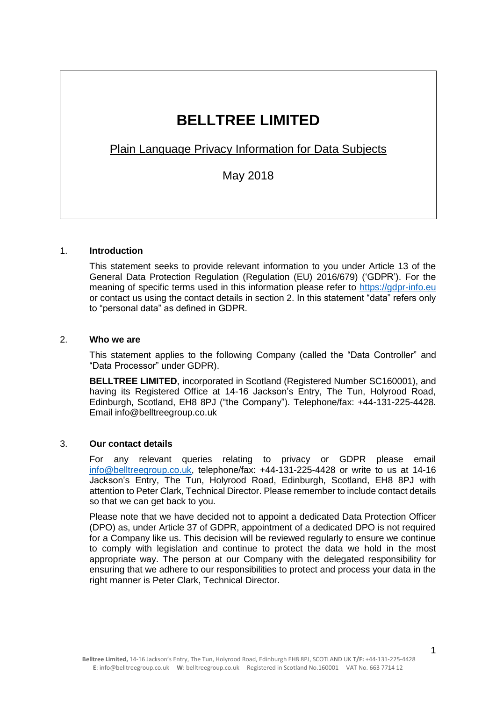# **BELLTREE LIMITED**

Plain Language Privacy Information for Data Subjects

May 2018

## 1. **Introduction**

This statement seeks to provide relevant information to you under Article 13 of the General Data Protection Regulation (Regulation (EU) 2016/679) ('GDPR'). For the meaning of specific terms used in this information please refer to [https://gdpr-info.eu](https://gdpr-info.eu/) or contact us using the contact details in section 2. In this statement "data" refers only to "personal data" as defined in GDPR.

#### 2. **Who we are**

This statement applies to the following Company (called the "Data Controller" and "Data Processor" under GDPR).

**BELLTREE LIMITED**, incorporated in Scotland (Registered Number SC160001), and having its Registered Office at 14-16 Jackson's Entry, The Tun, Holyrood Road, Edinburgh, Scotland, EH8 8PJ ("the Company"). Telephone/fax: +44-131-225-4428. Email info@belltreegroup.co.uk

# 3. **Our contact details**

For any relevant queries relating to privacy or GDPR please email [info@belltreegroup.co.uk,](mailto:info@belltreegroup.co.uk) telephone/fax: +44-131-225-4428 or write to us at 14-16 Jackson's Entry, The Tun, Holyrood Road, Edinburgh, Scotland, EH8 8PJ with attention to Peter Clark, Technical Director. Please remember to include contact details so that we can get back to you.

Please note that we have decided not to appoint a dedicated Data Protection Officer (DPO) as, under Article 37 of GDPR, appointment of a dedicated DPO is not required for a Company like us. This decision will be reviewed regularly to ensure we continue to comply with legislation and continue to protect the data we hold in the most appropriate way. The person at our Company with the delegated responsibility for ensuring that we adhere to our responsibilities to protect and process your data in the right manner is Peter Clark, Technical Director.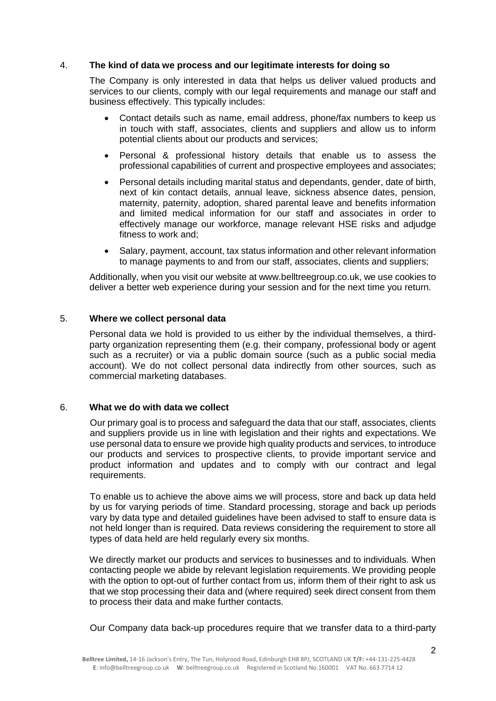## 4. **The kind of data we process and our legitimate interests for doing so**

The Company is only interested in data that helps us deliver valued products and services to our clients, comply with our legal requirements and manage our staff and business effectively. This typically includes:

- Contact details such as name, email address, phone/fax numbers to keep us in touch with staff, associates, clients and suppliers and allow us to inform potential clients about our products and services;
- Personal & professional history details that enable us to assess the professional capabilities of current and prospective employees and associates;
- Personal details including marital status and dependants, gender, date of birth, next of kin contact details, annual leave, sickness absence dates, pension, maternity, paternity, adoption, shared parental leave and benefits information and limited medical information for our staff and associates in order to effectively manage our workforce, manage relevant HSE risks and adjudge fitness to work and;
- Salary, payment, account, tax status information and other relevant information to manage payments to and from our staff, associates, clients and suppliers;

Additionally, when you visit our website at www.belltreegroup.co.uk, we use cookies to deliver a better web experience during your session and for the next time you return.

## 5. **Where we collect personal data**

Personal data we hold is provided to us either by the individual themselves, a thirdparty organization representing them (e.g. their company, professional body or agent such as a recruiter) or via a public domain source (such as a public social media account). We do not collect personal data indirectly from other sources, such as commercial marketing databases.

## 6. **What we do with data we collect**

Our primary goal is to process and safeguard the data that our staff, associates, clients and suppliers provide us in line with legislation and their rights and expectations. We use personal data to ensure we provide high quality products and services, to introduce our products and services to prospective clients, to provide important service and product information and updates and to comply with our contract and legal requirements.

To enable us to achieve the above aims we will process, store and back up data held by us for varying periods of time. Standard processing, storage and back up periods vary by data type and detailed guidelines have been advised to staff to ensure data is not held longer than is required. Data reviews considering the requirement to store all types of data held are held regularly every six months.

We directly market our products and services to businesses and to individuals. When contacting people we abide by relevant legislation requirements. We providing people with the option to opt-out of further contact from us, inform them of their right to ask us that we stop processing their data and (where required) seek direct consent from them to process their data and make further contacts.

Our Company data back-up procedures require that we transfer data to a third-party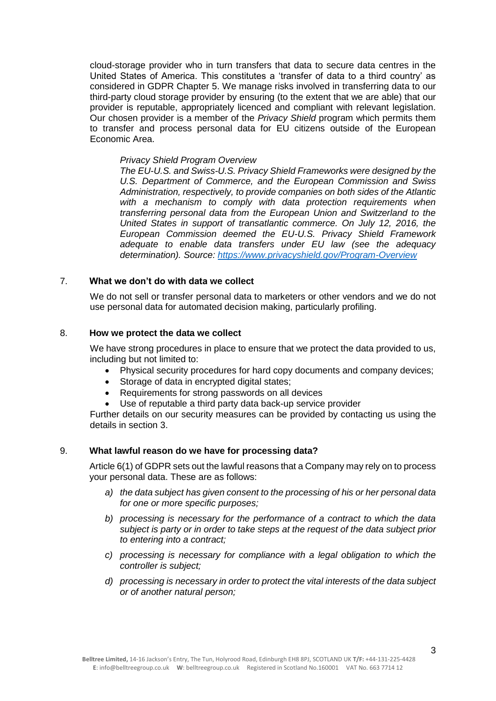cloud-storage provider who in turn transfers that data to secure data centres in the United States of America. This constitutes a 'transfer of data to a third country' as considered in GDPR Chapter 5. We manage risks involved in transferring data to our third-party cloud storage provider by ensuring (to the extent that we are able) that our provider is reputable, appropriately licenced and compliant with relevant legislation. Our chosen provider is a member of the *Privacy Shield* program which permits them to transfer and process personal data for EU citizens outside of the European Economic Area.

#### *Privacy Shield Program Overview*

*The EU-U.S. and Swiss-U.S. Privacy Shield Frameworks were designed by the U.S. Department of Commerce, and the European Commission and Swiss Administration, respectively, to provide companies on both sides of the Atlantic with a mechanism to comply with data protection requirements when transferring personal data from the European Union and Switzerland to the United States in support of transatlantic commerce. On July 12, 2016, the European Commission deemed the EU-U.S. Privacy Shield Framework adequate to enable data transfers under EU law (see the adequacy determination). Source:<https://www.privacyshield.gov/Program-Overview>*

# 7. **What we don't do with data we collect**

We do not sell or transfer personal data to marketers or other vendors and we do not use personal data for automated decision making, particularly profiling.

# 8. **How we protect the data we collect**

We have strong procedures in place to ensure that we protect the data provided to us, including but not limited to:

- Physical security procedures for hard copy documents and company devices;
- Storage of data in encrypted digital states;
- Requirements for strong passwords on all devices
- Use of reputable a third party data back-up service provider

Further details on our security measures can be provided by contacting us using the details in section 3.

#### 9. **What lawful reason do we have for processing data?**

[Article 6\(](https://gdpr-info.eu/art-6-gdpr/)1) of GDPR sets out the lawful reasons that a Company may rely on to process your personal data. These are as follows:

- *a) the data subject has given consent to the processing of his or her personal data for one or more specific purposes;*
- *b) processing is necessary for the performance of a contract to which the data subject is party or in order to take steps at the request of the data subject prior to entering into a contract;*
- *c) processing is necessary for compliance with a legal obligation to which the controller is subject;*
- *d) processing is necessary in order to protect the vital interests of the data subject or of another natural person;*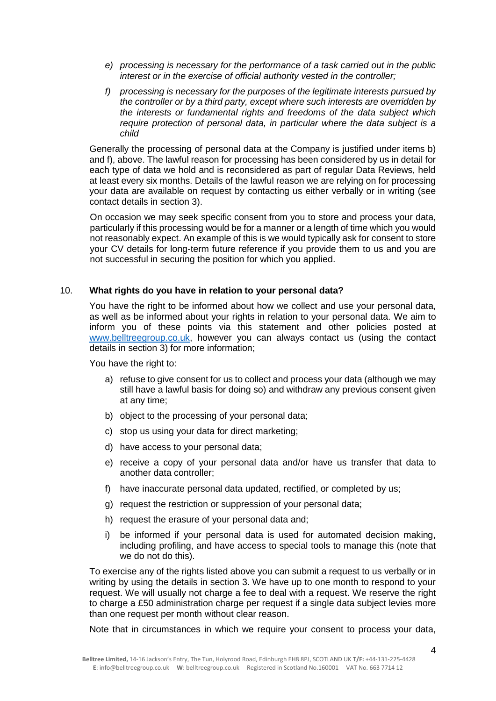- *e) processing is necessary for the performance of a task carried out in the public interest or in the exercise of official authority vested in the controller;*
- *f) processing is necessary for the purposes of the legitimate interests pursued by the controller or by a third party, except where such interests are overridden by the interests or fundamental rights and freedoms of the data subject which require protection of personal data, in particular where the data subject is a child*

Generally the processing of personal data at the Company is justified under items b) and f), above. The lawful reason for processing has been considered by us in detail for each type of data we hold and is reconsidered as part of regular Data Reviews, held at least every six months. Details of the lawful reason we are relying on for processing your data are available on request by contacting us either verbally or in writing (see contact details in section 3).

On occasion we may seek specific consent from you to store and process your data, particularly if this processing would be for a manner or a length of time which you would not reasonably expect. An example of this is we would typically ask for consent to store your CV details for long-term future reference if you provide them to us and you are not successful in securing the position for which you applied.

## 10. **What rights do you have in relation to your personal data?**

You have the right to be informed about how we collect and use your personal data. as well as be informed about your rights in relation to your personal data. We aim to inform you of these points via this statement and other policies posted at [www.belltreegroup.co.uk,](http://www.belltreegroup.co.uk/) however you can always contact us (using the contact details in section 3) for more information;

You have the right to:

- a) refuse to give consent for us to collect and process your data (although we may still have a lawful basis for doing so) and withdraw any previous consent given at any time;
- b) object to the processing of your personal data;
- c) stop us using your data for direct marketing;
- d) have access to your personal data;
- e) receive a copy of your personal data and/or have us transfer that data to another data controller;
- f) have inaccurate personal data updated, rectified, or completed by us;
- g) request the restriction or suppression of your personal data;
- h) request the erasure of your personal data and;
- i) be informed if your personal data is used for automated decision making, including profiling, and have access to special tools to manage this (note that we do not do this).

To exercise any of the rights listed above you can submit a request to us verbally or in writing by using the details in section 3. We have up to one month to respond to your request. We will usually not charge a fee to deal with a request. We reserve the right to charge a £50 administration charge per request if a single data subject levies more than one request per month without clear reason.

Note that in circumstances in which we require your consent to process your data,